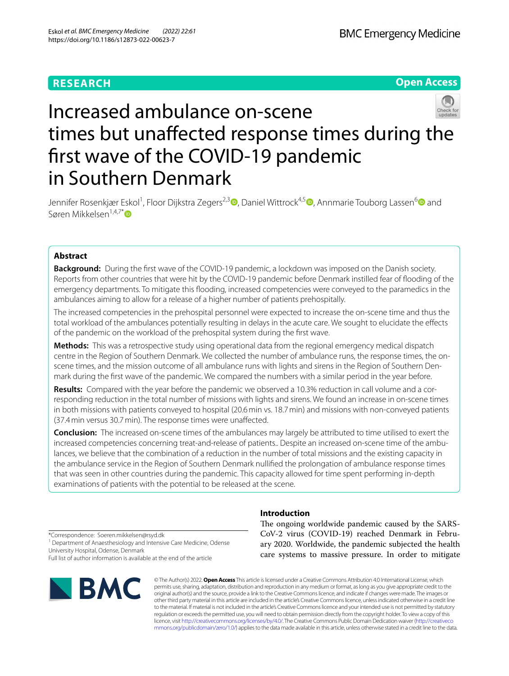# **RESEARCH**

**Open Access**

# Increased ambulance on-scene times but unafected response times during the frst wave of the COVID-19 pandemic in Southern Denmark

Jennifer Rosenkjær Eskol<sup>1</sup>[,](https://orcid.org/0000-0002-8318-5332) Floor Dijkstra Zegers<sup>2,3</sup> (**D**[,](https://orcid.org/0000-0003-0034-0876) Daniel Wittrock<sup>4,5</sup> (**D**, Annmarie Touborg Lassen<sup>[6](https://orcid.org/0000-0003-4942-6152)</sup> (D) and Søren Mikkelsen<sup>1,4,7[\\*](https://orcid.org/0000-0002-5187-7027)</sup>

# **Abstract**

**Background:** During the frst wave of the COVID-19 pandemic, a lockdown was imposed on the Danish society. Reports from other countries that were hit by the COVID-19 pandemic before Denmark instilled fear of fooding of the emergency departments. To mitigate this fooding, increased competencies were conveyed to the paramedics in the ambulances aiming to allow for a release of a higher number of patients prehospitally.

The increased competencies in the prehospital personnel were expected to increase the on-scene time and thus the total workload of the ambulances potentially resulting in delays in the acute care. We sought to elucidate the efects of the pandemic on the workload of the prehospital system during the frst wave.

**Methods:** This was a retrospective study using operational data from the regional emergency medical dispatch centre in the Region of Southern Denmark. We collected the number of ambulance runs, the response times, the onscene times, and the mission outcome of all ambulance runs with lights and sirens in the Region of Southern Denmark during the frst wave of the pandemic. We compared the numbers with a similar period in the year before.

**Results:** Compared with the year before the pandemic we observed a 10.3% reduction in call volume and a corresponding reduction in the total number of missions with lights and sirens. We found an increase in on-scene times in both missions with patients conveyed to hospital (20.6min vs. 18.7min) and missions with non-conveyed patients (37.4min versus 30.7min). The response times were unafected.

**Conclusion:** The increased on-scene times of the ambulances may largely be attributed to time utilised to exert the increased competencies concerning treat-and-release of patients.. Despite an increased on-scene time of the ambulances, we believe that the combination of a reduction in the number of total missions and the existing capacity in the ambulance service in the Region of Southern Denmark nullifed the prolongation of ambulance response times that was seen in other countries during the pandemic. This capacity allowed for time spent performing in-depth examinations of patients with the potential to be released at the scene.

**Introduction**

The ongoing worldwide pandemic caused by the SARS-CoV-2 virus (COVID-19) reached Denmark in February 2020. Worldwide, the pandemic subjected the health care systems to massive pressure. In order to mitigate

<sup>1</sup> Department of Anaesthesiology and Intensive Care Medicine, Odense University Hospital, Odense, Denmark Full list of author information is available at the end of the article



\*Correspondence: Soeren.mikkelsen@rsyd.dk

© The Author(s) 2022. **Open Access** This article is licensed under a Creative Commons Attribution 4.0 International License, which permits use, sharing, adaptation, distribution and reproduction in any medium or format, as long as you give appropriate credit to the original author(s) and the source, provide a link to the Creative Commons licence, and indicate if changes were made. The images or other third party material in this article are included in the article's Creative Commons licence, unless indicated otherwise in a credit line to the material. If material is not included in the article's Creative Commons licence and your intended use is not permitted by statutory regulation or exceeds the permitted use, you will need to obtain permission directly from the copyright holder. To view a copy of this licence, visit [http://creativecommons.org/licenses/by/4.0/.](http://creativecommons.org/licenses/by/4.0/) The Creative Commons Public Domain Dedication waiver ([http://creativeco](http://creativecommons.org/publicdomain/zero/1.0/) [mmons.org/publicdomain/zero/1.0/](http://creativecommons.org/publicdomain/zero/1.0/)) applies to the data made available in this article, unless otherwise stated in a credit line to the data.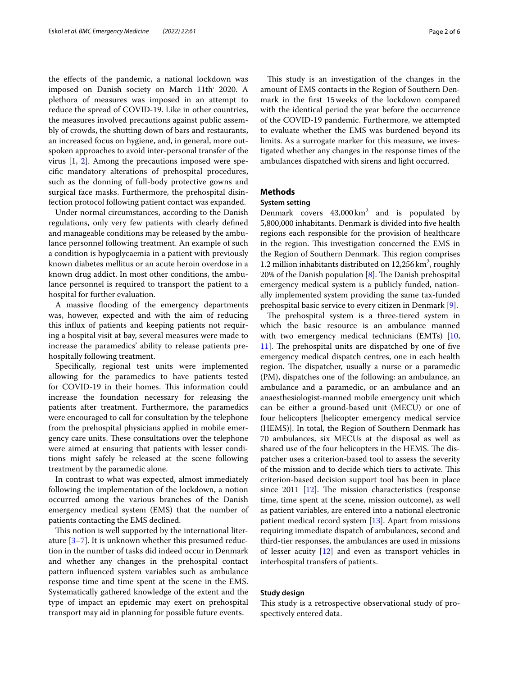the efects of the pandemic, a national lockdown was imposed on Danish society on March 11th<sup>,</sup> 2020. A plethora of measures was imposed in an attempt to reduce the spread of COVID-19. Like in other countries, the measures involved precautions against public assembly of crowds, the shutting down of bars and restaurants, an increased focus on hygiene, and, in general, more outspoken approaches to avoid inter-personal transfer of the virus [[1,](#page-5-0) [2\]](#page-5-1). Among the precautions imposed were specifc mandatory alterations of prehospital procedures, such as the donning of full-body protective gowns and surgical face masks. Furthermore, the prehospital disinfection protocol following patient contact was expanded.

Under normal circumstances, according to the Danish regulations, only very few patients with clearly defned and manageable conditions may be released by the ambulance personnel following treatment. An example of such a condition is hypoglycaemia in a patient with previously known diabetes mellitus or an acute heroin overdose in a known drug addict. In most other conditions, the ambulance personnel is required to transport the patient to a hospital for further evaluation.

A massive flooding of the emergency departments was, however, expected and with the aim of reducing this infux of patients and keeping patients not requiring a hospital visit at bay, several measures were made to increase the paramedics' ability to release patients prehospitally following treatment.

Specifcally, regional test units were implemented allowing for the paramedics to have patients tested for COVID-19 in their homes. This information could increase the foundation necessary for releasing the patients after treatment. Furthermore, the paramedics were encouraged to call for consultation by the telephone from the prehospital physicians applied in mobile emergency care units. These consultations over the telephone were aimed at ensuring that patients with lesser conditions might safely be released at the scene following treatment by the paramedic alone.

In contrast to what was expected, almost immediately following the implementation of the lockdown, a notion occurred among the various branches of the Danish emergency medical system (EMS) that the number of patients contacting the EMS declined.

This notion is well supported by the international literature [\[3](#page-5-2)[–7](#page-5-3)]. It is unknown whether this presumed reduction in the number of tasks did indeed occur in Denmark and whether any changes in the prehospital contact pattern infuenced system variables such as ambulance response time and time spent at the scene in the EMS. Systematically gathered knowledge of the extent and the type of impact an epidemic may exert on prehospital transport may aid in planning for possible future events.

This study is an investigation of the changes in the amount of EMS contacts in the Region of Southern Denmark in the frst 15weeks of the lockdown compared with the identical period the year before the occurrence of the COVID-19 pandemic. Furthermore, we attempted to evaluate whether the EMS was burdened beyond its limits. As a surrogate marker for this measure, we investigated whether any changes in the response times of the ambulances dispatched with sirens and light occurred.

# **Methods**

# **System setting**

Denmark covers  $43,000 \text{ km}^2$  and is populated by 5,800,000 inhabitants. Denmark is divided into fve health regions each responsible for the provision of healthcare in the region. This investigation concerned the EMS in the Region of Southern Denmark. This region comprises 1.2 million inhabitants distributed on  $12,256 \text{ km}^2$ , roughly 20% of the Danish population  $[8]$  $[8]$ . The Danish prehospital emergency medical system is a publicly funded, nationally implemented system providing the same tax-funded prehospital basic service to every citizen in Denmark [[9\]](#page-5-5).

The prehospital system is a three-tiered system in which the basic resource is an ambulance manned with two emergency medical technicians (EMTs) [[10](#page-5-6),  $11$ ]. The prehospital units are dispatched by one of five emergency medical dispatch centres, one in each health region. The dispatcher, usually a nurse or a paramedic (PM), dispatches one of the following: an ambulance, an ambulance and a paramedic, or an ambulance and an anaesthesiologist-manned mobile emergency unit which can be either a ground-based unit (MECU) or one of four helicopters [helicopter emergency medical service (HEMS)]. In total, the Region of Southern Denmark has 70 ambulances, six MECUs at the disposal as well as shared use of the four helicopters in the HEMS. The dispatcher uses a criterion-based tool to assess the severity of the mission and to decide which tiers to activate. This criterion-based decision support tool has been in place since 2011  $[12]$ . The mission characteristics (response time, time spent at the scene, mission outcome), as well as patient variables, are entered into a national electronic patient medical record system [\[13](#page-5-9)]. Apart from missions requiring immediate dispatch of ambulances, second and third-tier responses, the ambulances are used in missions of lesser acuity [\[12\]](#page-5-8) and even as transport vehicles in interhospital transfers of patients.

# **Study design**

This study is a retrospective observational study of prospectively entered data.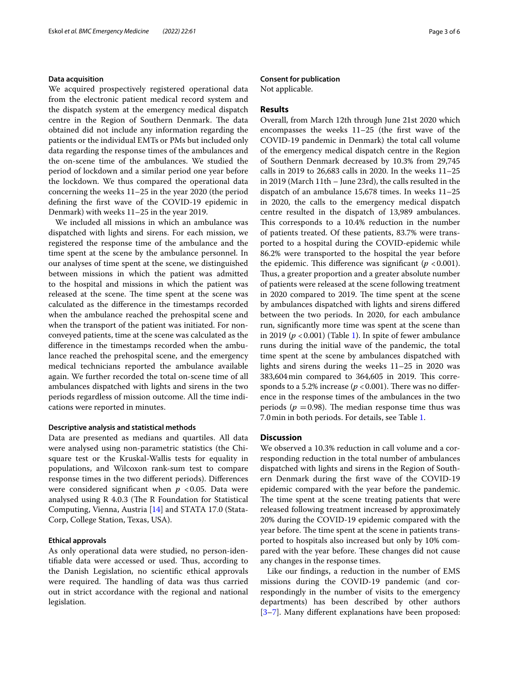# **Data acquisition**

We acquired prospectively registered operational data from the electronic patient medical record system and the dispatch system at the emergency medical dispatch centre in the Region of Southern Denmark. The data obtained did not include any information regarding the patients or the individual EMTs or PMs but included only data regarding the response times of the ambulances and the on-scene time of the ambulances. We studied the period of lockdown and a similar period one year before the lockdown. We thus compared the operational data concerning the weeks 11–25 in the year 2020 (the period defning the frst wave of the COVID-19 epidemic in Denmark) with weeks 11–25 in the year 2019.

We included all missions in which an ambulance was dispatched with lights and sirens. For each mission, we registered the response time of the ambulance and the time spent at the scene by the ambulance personnel. In our analyses of time spent at the scene, we distinguished between missions in which the patient was admitted to the hospital and missions in which the patient was released at the scene. The time spent at the scene was calculated as the diference in the timestamps recorded when the ambulance reached the prehospital scene and when the transport of the patient was initiated. For nonconveyed patients, time at the scene was calculated as the diference in the timestamps recorded when the ambulance reached the prehospital scene, and the emergency medical technicians reported the ambulance available again. We further recorded the total on-scene time of all ambulances dispatched with lights and sirens in the two periods regardless of mission outcome. All the time indications were reported in minutes.

# **Descriptive analysis and statistical methods**

Data are presented as medians and quartiles. All data were analysed using non-parametric statistics (the Chisquare test or the Kruskal-Wallis tests for equality in populations, and Wilcoxon rank-sum test to compare response times in the two diferent periods). Diferences were considered significant when  $p < 0.05$ . Data were analysed using  $R$  4.0.3 (The R Foundation for Statistical Computing, Vienna, Austria [\[14\]](#page-5-10) and STATA 17.0 (Stata-Corp, College Station, Texas, USA).

# **Ethical approvals**

As only operational data were studied, no person-identifiable data were accessed or used. Thus, according to the Danish Legislation, no scientifc ethical approvals were required. The handling of data was thus carried out in strict accordance with the regional and national legislation.

# **Consent for publication**

Not applicable.

# **Results**

Overall, from March 12th through June 21st 2020 which encompasses the weeks 11–25 (the frst wave of the COVID-19 pandemic in Denmark) the total call volume of the emergency medical dispatch centre in the Region of Southern Denmark decreased by 10.3% from 29,745 calls in 2019 to 26,683 calls in 2020. In the weeks 11–25 in 2019 (March 11th – June 23rd), the calls resulted in the dispatch of an ambulance 15,678 times. In weeks 11–25 in 2020, the calls to the emergency medical dispatch centre resulted in the dispatch of 13,989 ambulances. This corresponds to a 10.4% reduction in the number of patients treated. Of these patients, 83.7% were transported to a hospital during the COVID-epidemic while 86.2% were transported to the hospital the year before the epidemic. This difference was significant  $(p < 0.001)$ . Thus, a greater proportion and a greater absolute number of patients were released at the scene following treatment in 2020 compared to 2019. The time spent at the scene by ambulances dispatched with lights and sirens difered between the two periods. In 2020, for each ambulance run, signifcantly more time was spent at the scene than in 20[1](#page-3-0)9  $(p < 0.001)$  (Table 1). In spite of fewer ambulance runs during the initial wave of the pandemic, the total time spent at the scene by ambulances dispatched with lights and sirens during the weeks 11–25 in 2020 was 383,604 min compared to 364,605 in 2019. This corresponds to a 5.2% increase ( $p < 0.001$ ). There was no difference in the response times of the ambulances in the two periods ( $p = 0.98$ ). The median response time thus was 7.0min in both periods. For details, see Table [1.](#page-3-0)

# **Discussion**

We observed a 10.3% reduction in call volume and a corresponding reduction in the total number of ambulances dispatched with lights and sirens in the Region of Southern Denmark during the frst wave of the COVID-19 epidemic compared with the year before the pandemic. The time spent at the scene treating patients that were released following treatment increased by approximately 20% during the COVID-19 epidemic compared with the year before. The time spent at the scene in patients transported to hospitals also increased but only by 10% compared with the year before. These changes did not cause any changes in the response times.

Like our fndings, a reduction in the number of EMS missions during the COVID-19 pandemic (and correspondingly in the number of visits to the emergency departments) has been described by other authors [[3–](#page-5-2)[7\]](#page-5-3). Many diferent explanations have been proposed: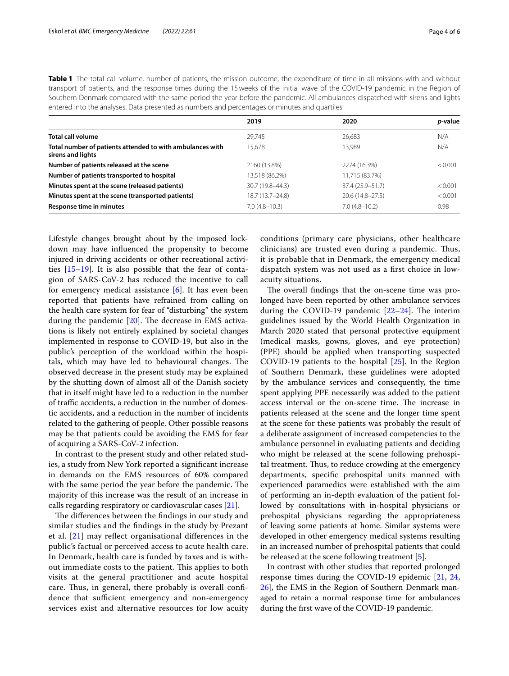<span id="page-3-0"></span>

| Table 1 The total call volume, number of patients, the mission outcome, the expenditure of time in all missions with and without |
|----------------------------------------------------------------------------------------------------------------------------------|
| transport of patients, and the response times during the 15 weeks of the initial wave of the COVID-19 pandemic in the Region of  |
| Southern Denmark compared with the same period the year before the pandemic. All ambulances dispatched with sirens and lights    |
| entered into the analyses. Data presented as numbers and percentages or minutes and quartiles                                    |

|                                                                                | 2019              | 2020                | <i>p</i> -value |
|--------------------------------------------------------------------------------|-------------------|---------------------|-----------------|
| Total call volume                                                              | 29,745            | 26,683              | N/A             |
| Total number of patients attended to with ambulances with<br>sirens and lights | 15,678            | 13.989              | N/A             |
| Number of patients released at the scene                                       | 2160 (13.8%)      | 2274 (16.3%)        | < 0.001         |
| Number of patients transported to hospital                                     | 13,518 (86.2%)    | 11,715 (83.7%)      |                 |
| Minutes spent at the scene (released patients)                                 | 30.7 (19.8–44.3)  | 37.4 (25.9–51.7)    | < 0.001         |
| Minutes spent at the scene (transported patients)                              | 18.7 (13.7–24.8)  | $20.6(14.8 - 27.5)$ | < 0.001         |
| Response time in minutes                                                       | $7.0(4.8 - 10.3)$ | $7.0(4.8 - 10.2)$   | 0.98            |

Lifestyle changes brought about by the imposed lockdown may have infuenced the propensity to become injured in driving accidents or other recreational activities [[15](#page-5-11)[–19](#page-5-12)]. It is also possible that the fear of contagion of SARS-CoV-2 has reduced the incentive to call for emergency medical assistance [\[6](#page-5-13)]. It has even been reported that patients have refrained from calling on the health care system for fear of "disturbing" the system during the pandemic  $[20]$ . The decrease in EMS activations is likely not entirely explained by societal changes implemented in response to COVID-19, but also in the public's perception of the workload within the hospitals, which may have led to behavioural changes. The observed decrease in the present study may be explained by the shutting down of almost all of the Danish society that in itself might have led to a reduction in the number of traffic accidents, a reduction in the number of domestic accidents, and a reduction in the number of incidents related to the gathering of people. Other possible reasons may be that patients could be avoiding the EMS for fear of acquiring a SARS-CoV-2 infection.

In contrast to the present study and other related studies, a study from New York reported a signifcant increase in demands on the EMS resources of 60% compared with the same period the year before the pandemic. The majority of this increase was the result of an increase in calls regarding respiratory or cardiovascular cases [\[21](#page-5-15)].

The differences between the findings in our study and similar studies and the fndings in the study by Prezant et al. [[21\]](#page-5-15) may refect organisational diferences in the public's factual or perceived access to acute health care. In Denmark, health care is funded by taxes and is without immediate costs to the patient. This applies to both visits at the general practitioner and acute hospital care. Thus, in general, there probably is overall confidence that sufficient emergency and non-emergency services exist and alternative resources for low acuity conditions (primary care physicians, other healthcare clinicians) are trusted even during a pandemic. Thus, it is probable that in Denmark, the emergency medical dispatch system was not used as a frst choice in lowacuity situations.

The overall findings that the on-scene time was prolonged have been reported by other ambulance services during the COVID-19 pandemic  $[22-24]$  $[22-24]$ . The interim guidelines issued by the World Health Organization in March 2020 stated that personal protective equipment (medical masks, gowns, gloves, and eye protection) (PPE) should be applied when transporting suspected COVID-19 patients to the hospital [[25](#page-5-18)]. In the Region of Southern Denmark, these guidelines were adopted by the ambulance services and consequently, the time spent applying PPE necessarily was added to the patient access interval or the on-scene time. The increase in patients released at the scene and the longer time spent at the scene for these patients was probably the result of a deliberate assignment of increased competencies to the ambulance personnel in evaluating patients and deciding who might be released at the scene following prehospital treatment. Thus, to reduce crowding at the emergency departments, specifc prehospital units manned with experienced paramedics were established with the aim of performing an in-depth evaluation of the patient followed by consultations with in-hospital physicians or prehospital physicians regarding the appropriateness of leaving some patients at home. Similar systems were developed in other emergency medical systems resulting in an increased number of prehospital patients that could be released at the scene following treatment [\[5\]](#page-5-19).

In contrast with other studies that reported prolonged response times during the COVID-19 epidemic [[21,](#page-5-15) [24](#page-5-17), [26\]](#page-5-20), the EMS in the Region of Southern Denmark managed to retain a normal response time for ambulances during the frst wave of the COVID-19 pandemic.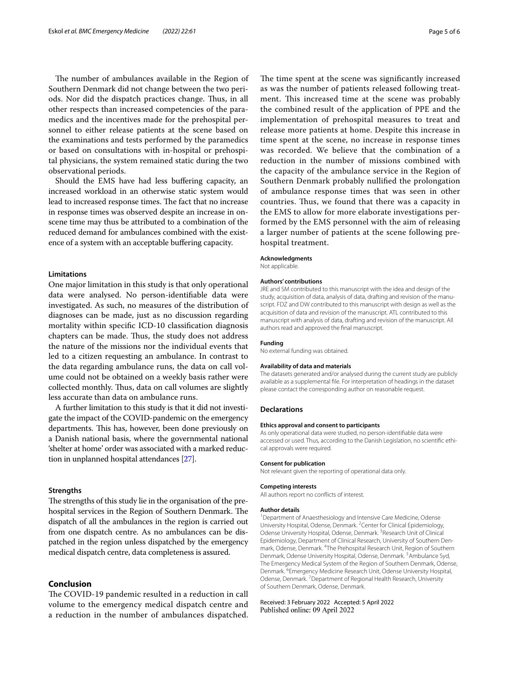The number of ambulances available in the Region of Southern Denmark did not change between the two periods. Nor did the dispatch practices change. Thus, in all other respects than increased competencies of the paramedics and the incentives made for the prehospital personnel to either release patients at the scene based on the examinations and tests performed by the paramedics or based on consultations with in-hospital or prehospital physicians, the system remained static during the two observational periods.

Should the EMS have had less bufering capacity, an increased workload in an otherwise static system would lead to increased response times. The fact that no increase in response times was observed despite an increase in onscene time may thus be attributed to a combination of the reduced demand for ambulances combined with the existence of a system with an acceptable buffering capacity.

# **Limitations**

One major limitation in this study is that only operational data were analysed. No person-identifable data were investigated. As such, no measures of the distribution of diagnoses can be made, just as no discussion regarding mortality within specifc ICD-10 classifcation diagnosis chapters can be made. Thus, the study does not address the nature of the missions nor the individual events that led to a citizen requesting an ambulance. In contrast to the data regarding ambulance runs, the data on call volume could not be obtained on a weekly basis rather were collected monthly. Thus, data on call volumes are slightly less accurate than data on ambulance runs.

A further limitation to this study is that it did not investigate the impact of the COVID-pandemic on the emergency departments. This has, however, been done previously on a Danish national basis, where the governmental national 'shelter at home' order was associated with a marked reduction in unplanned hospital attendances [\[27\]](#page-5-21).

## **Strengths**

The strengths of this study lie in the organisation of the prehospital services in the Region of Southern Denmark. The dispatch of all the ambulances in the region is carried out from one dispatch centre. As no ambulances can be dispatched in the region unless dispatched by the emergency medical dispatch centre, data completeness is assured.

# **Conclusion**

The COVID-19 pandemic resulted in a reduction in call volume to the emergency medical dispatch centre and a reduction in the number of ambulances dispatched.

The time spent at the scene was significantly increased as was the number of patients released following treatment. This increased time at the scene was probably the combined result of the application of PPE and the implementation of prehospital measures to treat and release more patients at home. Despite this increase in time spent at the scene, no increase in response times was recorded. We believe that the combination of a reduction in the number of missions combined with the capacity of the ambulance service in the Region of Southern Denmark probably nullifed the prolongation of ambulance response times that was seen in other countries. Thus, we found that there was a capacity in the EMS to allow for more elaborate investigations performed by the EMS personnel with the aim of releasing a larger number of patients at the scene following prehospital treatment.

#### **Acknowledgments**

Not applicable.

## **Authors' contributions**

JRE and SM contributed to this manuscript with the idea and design of the study, acquisition of data, analysis of data, drafting and revision of the manuscript. FDZ and DW contributed to this manuscript with design as well as the acquisition of data and revision of the manuscript. ATL contributed to this manuscript with analysis of data, drafting and revision of the manuscript. All authors read and approved the fnal manuscript.

#### **Funding**

No external funding was obtained.

#### **Availability of data and materials**

The datasets generated and/or analysed during the current study are publicly available as a supplemental fle. For interpretation of headings in the dataset please contact the corresponding author on reasonable request.

## **Declarations**

## **Ethics approval and consent to participants**

As only operational data were studied, no person-identifable data were accessed or used. Thus, according to the Danish Legislation, no scientifc ethical approvals were required.

#### **Consent for publication**

Not relevant given the reporting of operational data only.

## **Competing interests**

All authors report no conficts of interest.

#### **Author details**

<sup>1</sup> Department of Anaesthesiology and Intensive Care Medicine, Odense University Hospital, Odense, Denmark. <sup>2</sup> Center for Clinical Epidemiology, Odense University Hospital, Odense, Denmark. <sup>3</sup> Research Unit of Clinical Epidemiology, Department of Clinical Research, University of Southern Denmark, Odense, Denmark. <sup>4</sup>The Prehospital Research Unit, Region of Southern Denmark, Odense University Hospital, Odense, Denmark.<sup>5</sup> Ambulance Syd, The Emergency Medical System of the Region of Southern Denmark, Odense, Denmark. <sup>6</sup> Emergency Medicine Research Unit, Odense University Hospital, Odense, Denmark.<sup>7</sup> Department of Regional Health Research, University of Southern Denmark, Odense, Denmark.

# Received: 3 February 2022 Accepted: 5 April 2022Published online: 09 April 2022